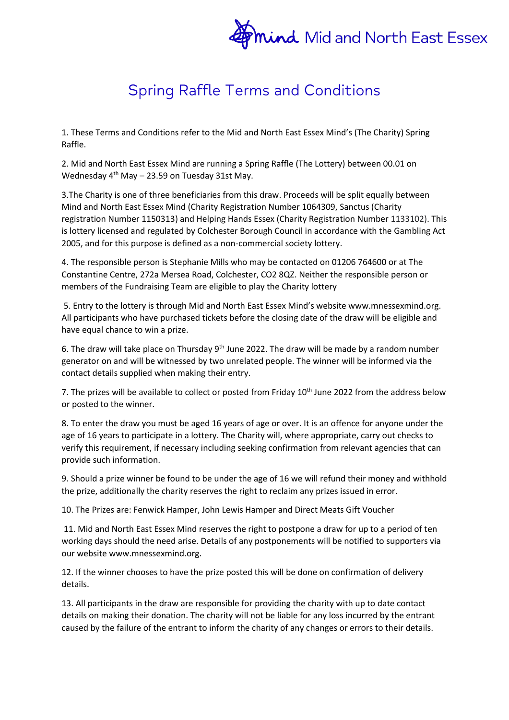

## **Spring Raffle Terms and Conditions**

1. These Terms and Conditions refer to the Mid and North East Essex Mind's (The Charity) Spring Raffle.

2. Mid and North East Essex Mind are running a Spring Raffle (The Lottery) between 00.01 on Wednesday  $4<sup>th</sup>$  May – 23.59 on Tuesday 31st May.

3.The Charity is one of three beneficiaries from this draw. Proceeds will be split equally between Mind and North East Essex Mind (Charity Registration Number 1064309, Sanctus (Charity registration Number 1150313) and Helping Hands Essex (Charity Registration Number 1133102). This is lottery licensed and regulated by Colchester Borough Council in accordance with the Gambling Act 2005, and for this purpose is defined as a non-commercial society lottery.

4. The responsible person is Stephanie Mills who may be contacted on 01206 764600 or at The Constantine Centre, 272a Mersea Road, Colchester, CO2 8QZ. Neither the responsible person or members of the Fundraising Team are eligible to play the Charity lottery

5. Entry to the lottery is through Mid and North East Essex Mind's website www.mnessexmind.org. All participants who have purchased tickets before the closing date of the draw will be eligible and have equal chance to win a prize.

6. The draw will take place on Thursday  $9<sup>th</sup>$  June 2022. The draw will be made by a random number generator on and will be witnessed by two unrelated people. The winner will be informed via the contact details supplied when making their entry.

7. The prizes will be available to collect or posted from Friday 10<sup>th</sup> June 2022 from the address below or posted to the winner.

8. To enter the draw you must be aged 16 years of age or over. It is an offence for anyone under the age of 16 years to participate in a lottery. The Charity will, where appropriate, carry out checks to verify this requirement, if necessary including seeking confirmation from relevant agencies that can provide such information.

9. Should a prize winner be found to be under the age of 16 we will refund their money and withhold the prize, additionally the charity reserves the right to reclaim any prizes issued in error.

10. The Prizes are: Fenwick Hamper, John Lewis Hamper and Direct Meats Gift Voucher

11. Mid and North East Essex Mind reserves the right to postpone a draw for up to a period of ten working days should the need arise. Details of any postponements will be notified to supporters via our website www.mnessexmind.org.

12. If the winner chooses to have the prize posted this will be done on confirmation of delivery details.

13. All participants in the draw are responsible for providing the charity with up to date contact details on making their donation. The charity will not be liable for any loss incurred by the entrant caused by the failure of the entrant to inform the charity of any changes or errors to their details.